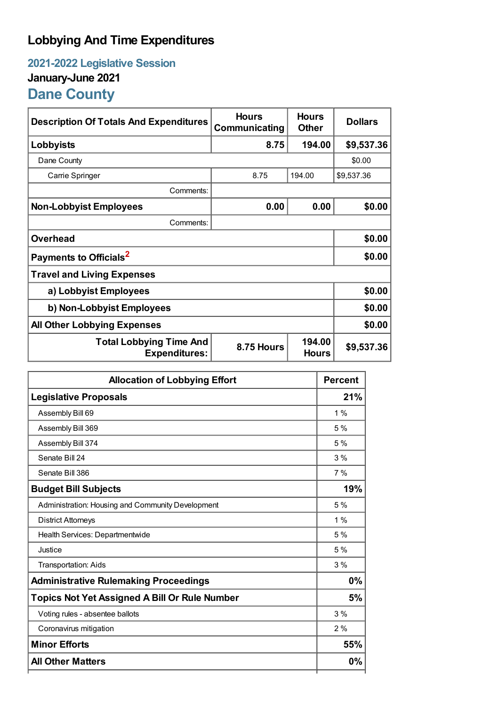## **Lobbying And Time Expenditures**

## **2021-2022 Legislative Session January-June 2021 Dane County**

| <b>Description Of Totals And Expenditures</b>          | <b>Hours</b><br>Communicating | <b>Hours</b><br><b>Other</b> | <b>Dollars</b> |
|--------------------------------------------------------|-------------------------------|------------------------------|----------------|
| Lobbyists                                              | 8.75                          | 194.00                       | \$9,537.36     |
| Dane County                                            |                               |                              | \$0.00         |
| Carrie Springer                                        | 8.75                          | 194.00                       | \$9,537.36     |
| Comments:                                              |                               |                              |                |
| <b>Non-Lobbyist Employees</b>                          | 0.00                          | 0.00                         | \$0.00         |
| Comments:                                              |                               |                              |                |
| <b>Overhead</b>                                        |                               |                              | \$0.00         |
| Payments to Officials <sup>2</sup>                     |                               |                              | \$0.00         |
| <b>Travel and Living Expenses</b>                      |                               |                              |                |
| a) Lobbyist Employees                                  |                               |                              | \$0.00         |
| b) Non-Lobbyist Employees                              | \$0.00                        |                              |                |
| <b>All Other Lobbying Expenses</b>                     |                               |                              | \$0.00         |
| <b>Total Lobbying Time And</b><br><b>Expenditures:</b> | 8.75 Hours                    | 194.00<br><b>Hours</b>       | \$9,537.36     |

| <b>Allocation of Lobbying Effort</b>                 |       |
|------------------------------------------------------|-------|
| <b>Legislative Proposals</b>                         |       |
| Assembly Bill 69                                     | $1\%$ |
| Assembly Bill 369                                    | 5%    |
| Assembly Bill 374                                    | 5 %   |
| Senate Bill 24                                       | 3%    |
| Senate Bill 386                                      | 7%    |
| <b>Budget Bill Subjects</b>                          | 19%   |
| Administration: Housing and Community Development    | 5%    |
| <b>District Attorneys</b>                            | $1\%$ |
| Health Services: Departmentwide                      | 5 %   |
| Justice                                              | 5%    |
| <b>Transportation: Aids</b>                          | 3%    |
| <b>Administrative Rulemaking Proceedings</b>         | 0%    |
| <b>Topics Not Yet Assigned A Bill Or Rule Number</b> |       |
| Voting rules - absentee ballots                      | 3%    |
| Coronavirus mitigation                               | 2%    |
| <b>Minor Efforts</b>                                 | 55%   |
| <b>All Other Matters</b>                             | 0%    |